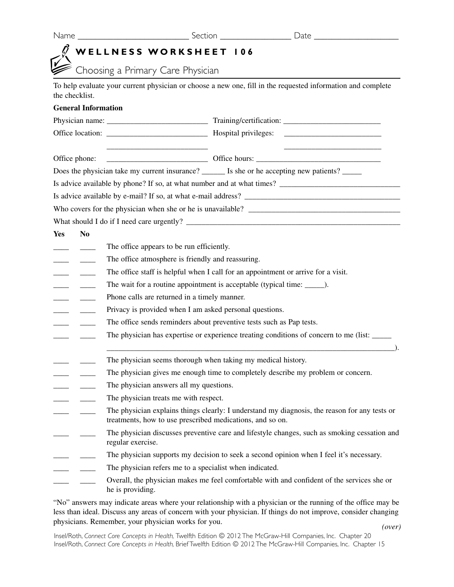|  | × |  |
|--|---|--|
|--|---|--|

Name \_\_\_\_\_\_\_\_\_\_\_\_\_\_\_\_\_\_\_\_\_\_\_\_\_ Section \_\_\_\_\_\_\_\_\_\_\_\_\_\_\_\_ Date \_\_\_\_\_\_\_\_\_\_\_\_\_\_\_\_\_\_\_

## **WELLNESS WORKSHEET 106**

Choosing a Primary Care Physician

To help evaluate your current physician or choose a new one, fill in the requested information and complete the checklist.

## **General Information**

| Office phone:                                         |                |                                                                                       |                                                                                                        |  |
|-------------------------------------------------------|----------------|---------------------------------------------------------------------------------------|--------------------------------------------------------------------------------------------------------|--|
|                                                       |                |                                                                                       | Does the physician take my current insurance? <u>_____</u> Is she or he accepting new patients? ______ |  |
|                                                       |                |                                                                                       | Is advice available by phone? If so, at what number and at what times?                                 |  |
|                                                       |                |                                                                                       |                                                                                                        |  |
|                                                       |                |                                                                                       | Who covers for the physician when she or he is unavailable?                                            |  |
|                                                       |                |                                                                                       |                                                                                                        |  |
| <b>Yes</b>                                            | N <sub>0</sub> |                                                                                       |                                                                                                        |  |
|                                                       | $\frac{1}{2}$  | The office appears to be run efficiently.                                             |                                                                                                        |  |
|                                                       |                | The office atmosphere is friendly and reassuring.                                     |                                                                                                        |  |
|                                                       |                | The office staff is helpful when I call for an appointment or arrive for a visit.     |                                                                                                        |  |
|                                                       |                |                                                                                       | The wait for a routine appointment is acceptable (typical time: ______).                               |  |
| $\overline{\phantom{0}}$                              | $\frac{1}{2}$  | Phone calls are returned in a timely manner.                                          |                                                                                                        |  |
| $\overline{\phantom{a}}$                              |                | Privacy is provided when I am asked personal questions.                               |                                                                                                        |  |
| $\overline{\phantom{a}}$                              |                | The office sends reminders about preventive tests such as Pap tests.                  |                                                                                                        |  |
|                                                       |                | The physician has expertise or experience treating conditions of concern to me (list: |                                                                                                        |  |
|                                                       |                |                                                                                       |                                                                                                        |  |
|                                                       |                | The physician seems thorough when taking my medical history.                          |                                                                                                        |  |
|                                                       |                |                                                                                       | The physician gives me enough time to completely describe my problem or concern.                       |  |
|                                                       |                | The physician answers all my questions.                                               |                                                                                                        |  |
| $\overline{\phantom{a}}$ and $\overline{\phantom{a}}$ |                | The physician treats me with respect.                                                 |                                                                                                        |  |
|                                                       |                | treatments, how to use prescribed medications, and so on.                             | The physician explains things clearly: I understand my diagnosis, the reason for any tests or          |  |
| $\overline{\phantom{0}}$                              |                | regular exercise.                                                                     | The physician discusses preventive care and lifestyle changes, such as smoking cessation and           |  |
| $\overline{\phantom{a}}$                              |                |                                                                                       | The physician supports my decision to seek a second opinion when I feel it's necessary.                |  |
|                                                       |                | The physician refers me to a specialist when indicated.                               |                                                                                                        |  |
|                                                       |                | he is providing.                                                                      | Overall, the physician makes me feel comfortable with and confident of the services she or             |  |

"No" answers may indicate areas where your relationship with a physician or the running of the office may be less than ideal. Discuss any areas of concern with your physician. If things do not improve, consider changing physicians. Remember, your physician works for you. *(over)*